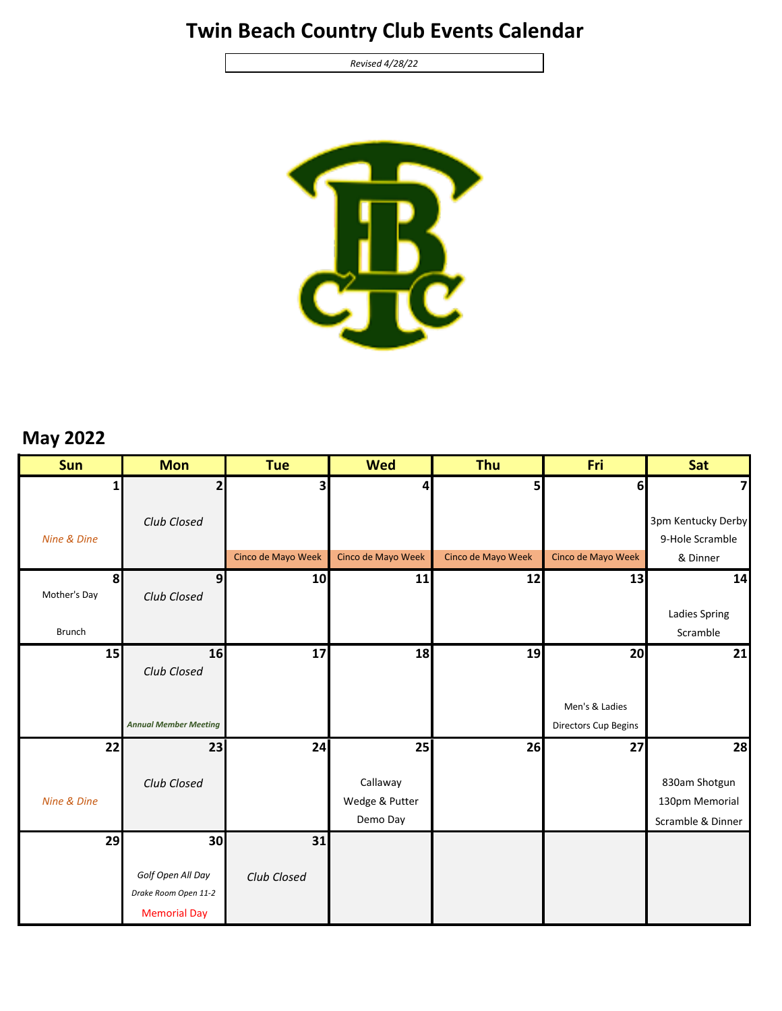## **Twin Beach Country Club Events Calendar**

*Revised 4/28/22*



## **May 2022**

| <b>Sun</b>                     | <b>Mon</b>                                                       | <b>Tue</b>         | <b>Wed</b>         | Thu                | Fri                  | Sat                         |
|--------------------------------|------------------------------------------------------------------|--------------------|--------------------|--------------------|----------------------|-----------------------------|
| $\mathbf{1}$                   | $\overline{2}$                                                   | 3                  | 4                  | 5                  | 6                    | 7                           |
|                                | Club Closed                                                      |                    |                    |                    |                      | 3pm Kentucky Derby          |
| Nine & Dine                    |                                                                  | Cinco de Mayo Week | Cinco de Mayo Week | Cinco de Mayo Week | Cinco de Mayo Week   | 9-Hole Scramble<br>& Dinner |
|                                |                                                                  |                    |                    |                    |                      |                             |
| 8 <sup>1</sup><br>Mother's Day | $\overline{9}$<br>Club Closed                                    | 10                 | 11                 | 12                 | 13                   | 14                          |
|                                |                                                                  |                    |                    |                    |                      | <b>Ladies Spring</b>        |
| <b>Brunch</b>                  |                                                                  |                    |                    |                    |                      | Scramble                    |
|                                |                                                                  |                    |                    |                    |                      |                             |
| 15                             | 16<br>Club Closed                                                | 17                 | 18                 | 19                 | 20                   | 21                          |
|                                |                                                                  |                    |                    |                    |                      |                             |
|                                |                                                                  |                    |                    |                    | Men's & Ladies       |                             |
|                                | <b>Annual Member Meeting</b>                                     |                    |                    |                    | Directors Cup Begins |                             |
| 22                             | 23                                                               | 24                 | 25                 | 26                 | 27                   | 28                          |
|                                |                                                                  |                    |                    |                    |                      |                             |
|                                | Club Closed                                                      |                    | Callaway           |                    |                      | 830am Shotgun               |
| Nine & Dine                    |                                                                  |                    | Wedge & Putter     |                    |                      | 130pm Memorial              |
|                                |                                                                  |                    | Demo Day           |                    |                      | Scramble & Dinner           |
| 29                             | 30                                                               | 31                 |                    |                    |                      |                             |
|                                | Golf Open All Day<br>Drake Room Open 11-2<br><b>Memorial Day</b> | Club Closed        |                    |                    |                      |                             |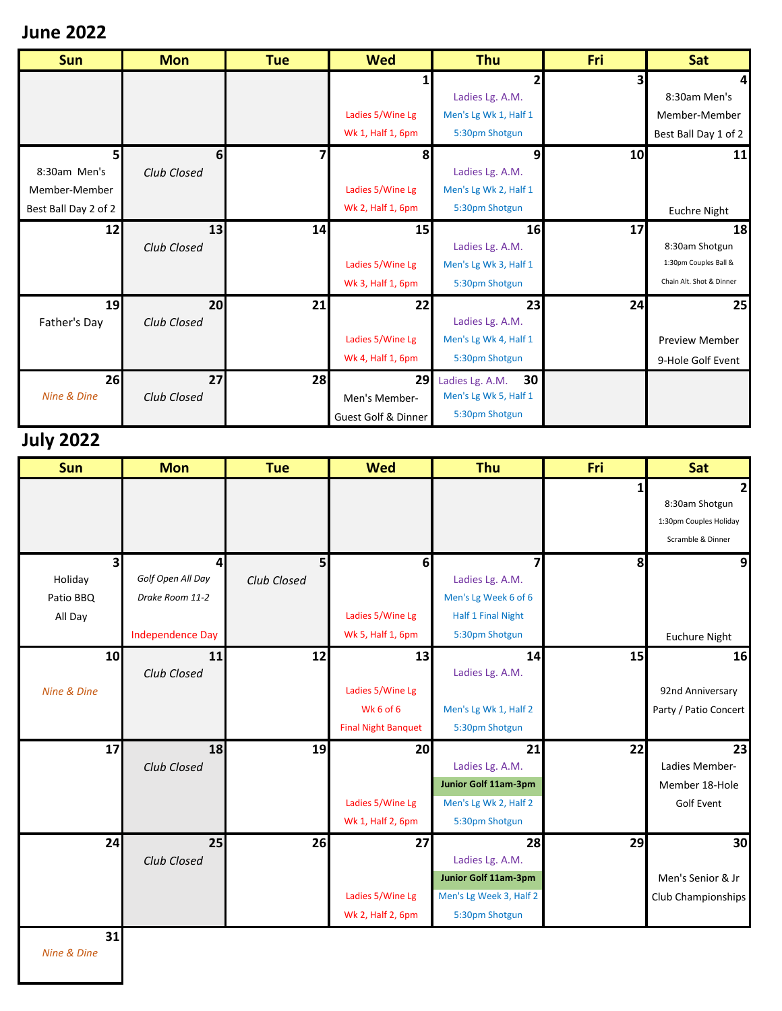### **June 2022**

| <b>Sun</b>           | <b>Mon</b>     | <b>Tue</b> | <b>Wed</b>          | <b>Thu</b>            | Fri | Sat                      |
|----------------------|----------------|------------|---------------------|-----------------------|-----|--------------------------|
|                      |                |            |                     |                       | 3   | $\overline{4}$           |
|                      |                |            |                     | Ladies Lg. A.M.       |     | 8:30am Men's             |
|                      |                |            | Ladies 5/Wine Lg    | Men's Lg Wk 1, Half 1 |     | Member-Member            |
|                      |                |            | Wk 1, Half 1, 6pm   | 5:30pm Shotgun        |     | Best Ball Day 1 of 2     |
| 5 <sub>l</sub>       | 6 <sup>1</sup> |            | 8                   | 9                     | 10  | 11                       |
| 8:30am Men's         | Club Closed    |            |                     | Ladies Lg. A.M.       |     |                          |
| Member-Member        |                |            | Ladies 5/Wine Lg    | Men's Lg Wk 2, Half 1 |     |                          |
| Best Ball Day 2 of 2 |                |            | Wk 2, Half 1, 6pm   | 5:30pm Shotgun        |     | <b>Euchre Night</b>      |
| 12                   | 13             | 14         | 15                  | 16                    | 17  | 18                       |
|                      | Club Closed    |            |                     | Ladies Lg. A.M.       |     | 8:30am Shotgun           |
|                      |                |            | Ladies 5/Wine Lg    | Men's Lg Wk 3, Half 1 |     | 1:30pm Couples Ball &    |
|                      |                |            | Wk 3, Half 1, 6pm   | 5:30pm Shotgun        |     | Chain Alt. Shot & Dinner |
| 19                   | 20             | 21         | 22                  | 23                    | 24  | 25                       |
| Father's Day         | Club Closed    |            |                     | Ladies Lg. A.M.       |     |                          |
|                      |                |            | Ladies 5/Wine Lg    | Men's Lg Wk 4, Half 1 |     | <b>Preview Member</b>    |
|                      |                |            | Wk 4, Half 1, 6pm   | 5:30pm Shotgun        |     | 9-Hole Golf Event        |
| 26                   | 27             | 28         | 29                  | 30<br>Ladies Lg. A.M. |     |                          |
| Nine & Dine          | Club Closed    |            | Men's Member-       | Men's Lg Wk 5, Half 1 |     |                          |
|                      |                |            | Guest Golf & Dinner | 5:30pm Shotgun        |     |                          |

# **July 2022**

| Sun          | <b>Mon</b>              | <b>Tue</b>  | <b>Wed</b>                 | <b>Thu</b>              | Fri | Sat                    |
|--------------|-------------------------|-------------|----------------------------|-------------------------|-----|------------------------|
|              |                         |             |                            |                         | 1   |                        |
|              |                         |             |                            |                         |     | 8:30am Shotgun         |
|              |                         |             |                            |                         |     | 1:30pm Couples Holiday |
|              |                         |             |                            |                         |     | Scramble & Dinner      |
| $\mathbf{3}$ | $\overline{4}$          | 5           | 6                          | 7                       | 8   | 9                      |
| Holiday      | Golf Open All Day       | Club Closed |                            | Ladies Lg. A.M.         |     |                        |
| Patio BBQ    | Drake Room 11-2         |             |                            | Men's Lg Week 6 of 6    |     |                        |
| All Day      |                         |             | Ladies 5/Wine Lg           | Half 1 Final Night      |     |                        |
|              | <b>Independence Day</b> |             | Wk 5, Half 1, 6pm          | 5:30pm Shotgun          |     | <b>Euchure Night</b>   |
| 10           | 11                      | 12          | 13                         | 14                      | 15  | 16                     |
|              | Club Closed             |             |                            | Ladies Lg. A.M.         |     |                        |
| Nine & Dine  |                         |             | Ladies 5/Wine Lg           |                         |     | 92nd Anniversary       |
|              |                         |             | Wk 6 of 6                  | Men's Lg Wk 1, Half 2   |     | Party / Patio Concert  |
|              |                         |             | <b>Final Night Banquet</b> | 5:30pm Shotgun          |     |                        |
| 17           | 18                      | 19          | 20                         | 21                      | 22  | 23                     |
|              | Club Closed             |             |                            | Ladies Lg. A.M.         |     | Ladies Member-         |
|              |                         |             |                            | Junior Golf 11am-3pm    |     | Member 18-Hole         |
|              |                         |             | Ladies 5/Wine Lg           | Men's Lg Wk 2, Half 2   |     | <b>Golf Event</b>      |
|              |                         |             | Wk 1, Half 2, 6pm          | 5:30pm Shotgun          |     |                        |
| 24           | 25                      | 26          | 27                         | 28                      | 29  | 30                     |
|              | Club Closed             |             |                            | Ladies Lg. A.M.         |     |                        |
|              |                         |             |                            | Junior Golf 11am-3pm    |     | Men's Senior & Jr      |
|              |                         |             | Ladies 5/Wine Lg           | Men's Lg Week 3, Half 2 |     | Club Championships     |
|              |                         |             | Wk 2, Half 2, 6pm          | 5:30pm Shotgun          |     |                        |
| 31           |                         |             |                            |                         |     |                        |

*Nine & Dine*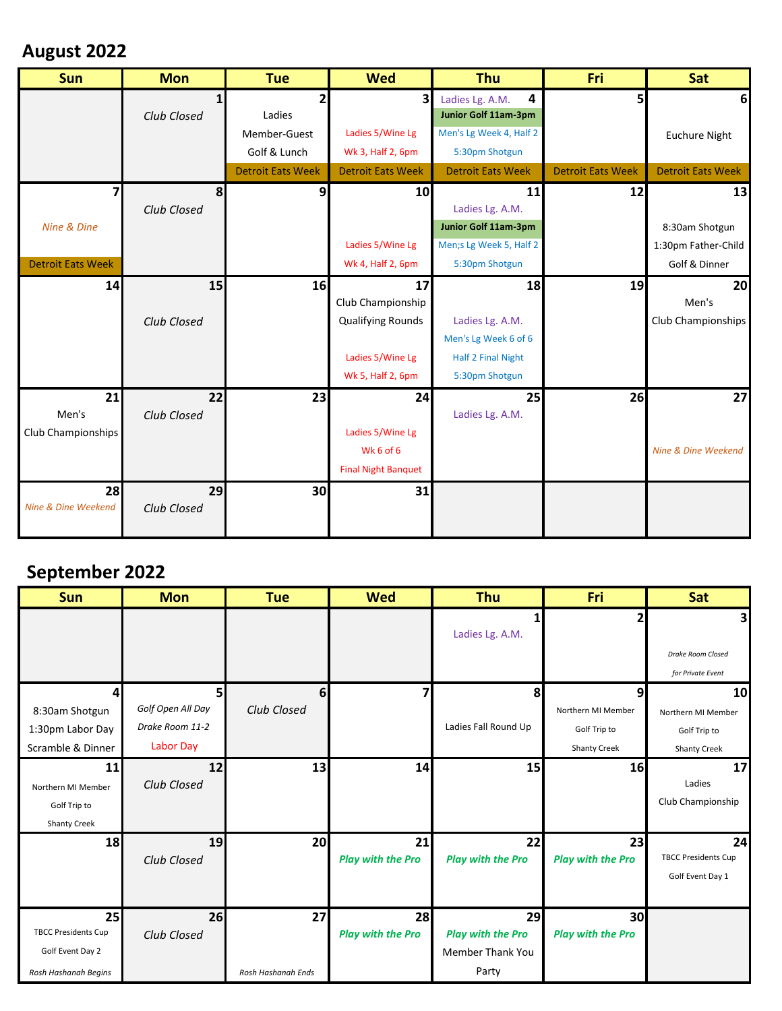## **August 2022**

| <b>Mon</b>  | <b>Tue</b>               | <b>Wed</b>                 | Thu                      | Fri                      | Sat                      |
|-------------|--------------------------|----------------------------|--------------------------|--------------------------|--------------------------|
|             |                          | 3                          | 4<br>Ladies Lg. A.M.     | 5                        | 6                        |
| Club Closed | Ladies                   |                            | Junior Golf 11am-3pm     |                          |                          |
|             | Member-Guest             | Ladies 5/Wine Lg           | Men's Lg Week 4, Half 2  |                          | <b>Euchure Night</b>     |
|             | Golf & Lunch             | Wk 3, Half 2, 6pm          | 5:30pm Shotgun           |                          |                          |
|             | <b>Detroit Eats Week</b> | <b>Detroit Eats Week</b>   | <b>Detroit Eats Week</b> | <b>Detroit Eats Week</b> | <b>Detroit Eats Week</b> |
| 8           | 9                        | 10                         | 11                       | 12                       | 13                       |
| Club Closed |                          |                            | Ladies Lg. A.M.          |                          |                          |
|             |                          |                            | Junior Golf 11am-3pm     |                          | 8:30am Shotgun           |
|             |                          | Ladies 5/Wine Lg           | Men;s Lg Week 5, Half 2  |                          | 1:30pm Father-Child      |
|             |                          | Wk 4, Half 2, 6pm          | 5:30pm Shotgun           |                          | Golf & Dinner            |
|             |                          | 17                         | 18                       | 19                       | 20                       |
|             |                          | Club Championship          |                          |                          | Men's                    |
| Club Closed |                          | <b>Qualifying Rounds</b>   | Ladies Lg. A.M.          |                          | Club Championships       |
|             |                          |                            | Men's Lg Week 6 of 6     |                          |                          |
|             |                          | Ladies 5/Wine Lg           | Half 2 Final Night       |                          |                          |
|             |                          | Wk 5, Half 2, 6pm          | 5:30pm Shotgun           |                          |                          |
|             |                          |                            | 25                       |                          | 27                       |
| Club Closed |                          |                            | Ladies Lg. A.M.          |                          |                          |
|             |                          | Ladies 5/Wine Lg           |                          |                          |                          |
|             |                          | Wk 6 of 6                  |                          |                          | Nine & Dine Weekend      |
|             |                          | <b>Final Night Banquet</b> |                          |                          |                          |
|             |                          | 31                         |                          |                          |                          |
| Club Closed |                          |                            |                          |                          |                          |
|             |                          |                            |                          |                          |                          |
|             |                          | 15<br>22<br>29             | 16<br>23<br>30           | 24                       | 26                       |

### **September 2022**

| <b>Sun</b>                 | <b>Mon</b>        | <b>Tue</b>         | <b>Wed</b>               | <b>Thu</b>               | Fri                      | Sat                        |
|----------------------------|-------------------|--------------------|--------------------------|--------------------------|--------------------------|----------------------------|
|                            |                   |                    |                          |                          | 2                        | 3 <sub>l</sub>             |
|                            |                   |                    |                          | Ladies Lg. A.M.          |                          |                            |
|                            |                   |                    |                          |                          |                          | Drake Room Closed          |
|                            |                   |                    |                          |                          |                          | for Private Event          |
| 41                         | 5 <sup>1</sup>    | 6                  | 7                        | 8                        | 9                        | 10 <sup>1</sup>            |
| 8:30am Shotgun             | Golf Open All Day | Club Closed        |                          |                          | Northern MI Member       | Northern MI Member         |
| 1:30pm Labor Day           | Drake Room 11-2   |                    |                          | Ladies Fall Round Up     | Golf Trip to             | Golf Trip to               |
| Scramble & Dinner          | Labor Day         |                    |                          |                          | <b>Shanty Creek</b>      | <b>Shanty Creek</b>        |
| 11                         | 12                | 13                 | 14                       | 15                       | 16                       | 17                         |
| Northern MI Member         | Club Closed       |                    |                          |                          |                          | Ladies                     |
| Golf Trip to               |                   |                    |                          |                          |                          | Club Championship          |
| <b>Shanty Creek</b>        |                   |                    |                          |                          |                          |                            |
| 18                         | 19                | 20                 | 21                       | 22                       | 23                       | 24                         |
|                            | Club Closed       |                    | <b>Play with the Pro</b> | <b>Play with the Pro</b> | <b>Play with the Pro</b> | <b>TBCC Presidents Cup</b> |
|                            |                   |                    |                          |                          |                          | Golf Event Day 1           |
|                            |                   |                    |                          |                          |                          |                            |
| 25                         | 26                | 27                 | 28                       | 29                       | 30                       |                            |
| <b>TBCC Presidents Cup</b> | Club Closed       |                    | <b>Play with the Pro</b> | <b>Play with the Pro</b> | <b>Play with the Pro</b> |                            |
| Golf Event Day 2           |                   |                    |                          | <b>Member Thank You</b>  |                          |                            |
| Rosh Hashanah Begins       |                   | Rosh Hashanah Ends |                          | Party                    |                          |                            |